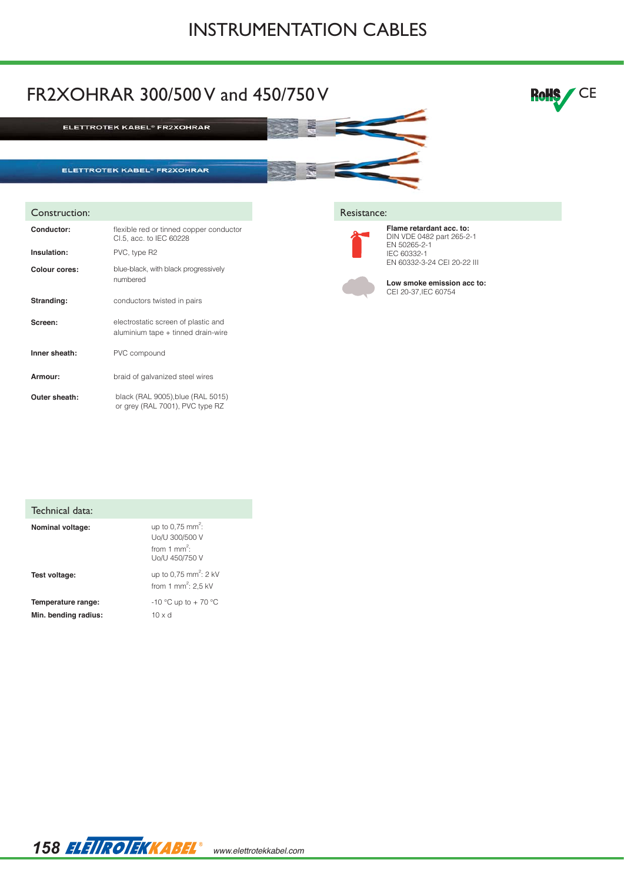## INSTRUMENTATION CABLES



| Technical data:                            |                                                                                            |
|--------------------------------------------|--------------------------------------------------------------------------------------------|
| Nominal voltage:                           | up to 0.75 mm <sup>2</sup> :<br>Uo/U 300/500 V<br>from 1 mm <sup>2</sup><br>Uo/U 450/750 V |
| Test voltage:                              | up to 0.75 mm <sup>2</sup> : 2 kV<br>from 1 mm <sup>2</sup> : 2,5 kV                       |
| Temperature range:<br>Min. bending radius: | -10 °C up to + 70 °C<br>$10 \times d$                                                      |